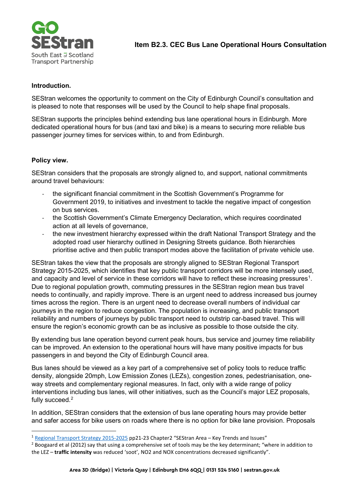

## **Introduction.**

SEStran welcomes the opportunity to comment on the City of Edinburgh Council's consultation and is pleased to note that responses will be used by the Council to help shape final proposals.

SEStran supports the principles behind extending bus lane operational hours in Edinburgh. More dedicated operational hours for bus (and taxi and bike) is a means to securing more reliable bus passenger journey times for services within, to and from Edinburgh.

## **Policy view.**

SEStran considers that the proposals are strongly aligned to, and support, national commitments around travel behaviours:

- the significant financial commitment in the Scottish Government's Programme for Government 2019, to initiatives and investment to tackle the negative impact of congestion on bus services.
- the Scottish Government's Climate Emergency Declaration, which requires coordinated action at all levels of governance,
- the new investment hierarchy expressed within the draft National Transport Strategy and the adopted road user hierarchy outlined in Designing Streets guidance. Both hierarchies prioritise active and then public transport modes above the facilitation of private vehicle use.

SEStran takes the view that the proposals are strongly aligned to SEStran Regional Transport Strategy 2015-2025, which identifies that key public transport corridors will be more intensely used, and capacity and level of service in these corridors will have to reflect these increasing pressures<sup>[1](#page-0-0)</sup>. Due to regional population growth, commuting pressures in the SEStran region mean bus travel needs to continually, and rapidly improve. There is an urgent need to address increased bus journey times across the region. There is an urgent need to decrease overall numbers of individual car journeys in the region to reduce congestion. The population is increasing, and public transport reliability and numbers of journeys by public transport need to outstrip car-based travel. This will ensure the region's economic growth can be as inclusive as possible to those outside the city.

By extending bus lane operation beyond current peak hours, bus service and journey time reliability can be improved. An extension to the operational hours will have many positive impacts for bus passengers in and beyond the City of Edinburgh Council area.

Bus lanes should be viewed as a key part of a comprehensive set of policy tools to reduce traffic density, alongside 20mph, Low Emission Zones (LEZs), congestion zones, pedestrianisation, oneway streets and complementary regional measures. In fact, only with a wide range of policy interventions including bus lanes, will other initiatives, such as the Council's major LEZ proposals, fully succeed.<sup>[2](#page-0-1)</sup>

In addition, SEStran considers that the extension of bus lane operating hours may provide better and safer access for bike users on roads where there is no option for bike lane provision. Proposals

<span id="page-0-0"></span><sup>1</sup> [Regional Transport Strategy 2015-2025](https://www.sestran.gov.uk/wp-content/uploads/2017/01/SEStran_Regional_Transport_Strategy_Refresh_2015_as_published.pdf) pp21-23 Chapter2 "SEStran Area – Key Trends and Issues"

<span id="page-0-1"></span><sup>&</sup>lt;sup>2</sup> Boogaard et al (2012) say that using a comprehensive set of tools may be the key determinant; "where in addition to the LEZ – **traffic intensity** was reduced 'soot', NO2 and NOX concentrations decreased significantly".